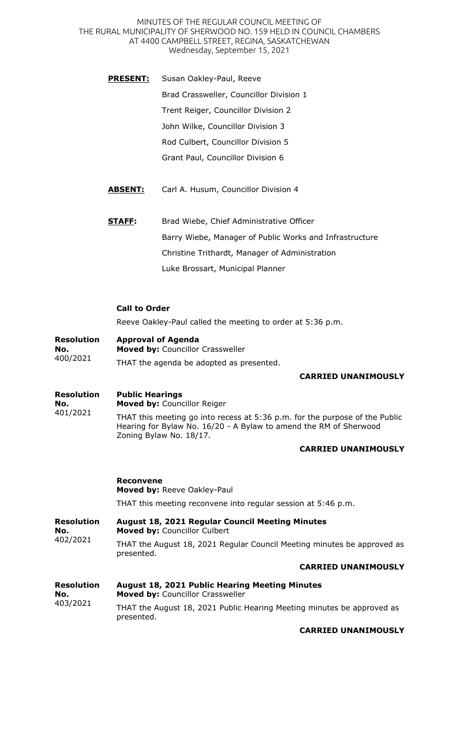MINUTES OF THE REGULAR COUNCIL MEETING OF THE RURAL MUNICIPALITY OF SHERWOOD NO. 159 HELD IN COUNCIL CHAMBERS AT 4400 CAMPBELL STREET, REGINA, SASKATCHEWAN Wednesday, September 15, 2021

- **PRESENT:** Susan Oakley-Paul, Reeve Brad Crassweller, Councillor Division 1 Trent Reiger, Councillor Division 2 John Wilke, Councillor Division 3 Rod Culbert, Councillor Division 5 Grant Paul, Councillor Division 6
- **ABSENT:** Carl A. Husum, Councillor Division 4
- **STAFF:** Brad Wiebe, Chief Administrative Officer Barry Wiebe, Manager of Public Works and Infrastructure Christine Trithardt, Manager of Administration Luke Brossart, Municipal Planner

## **Call to Order**

Reeve Oakley-Paul called the meeting to order at 5:36 p.m.

#### **Resolution No. Approval of Agenda Moved by:** Councillor Crassweller

400/2021 THAT the agenda be adopted as presented.

### **CARRIED UNANIMOUSLY**

### **Resolution Public Hearings**

**No.**  401/2021 **Moved by:** Councillor Reiger THAT this meeting go into recess at 5:36 p.m. for the purpose of the Public Hearing for Bylaw No. 16/20 - A Bylaw to amend the RM of Sherwood Zoning Bylaw No. 18/17.

### **CARRIED UNANIMOUSLY**

### **Reconvene**

**Moved by:** Reeve Oakley-Paul THAT this meeting reconvene into regular session at 5:46 p.m.

| Resolution | <b>August 18, 2021 Regular Council Meeting Minutes</b>                                |
|------------|---------------------------------------------------------------------------------------|
| No.        | <b>Moved by: Councillor Culbert</b>                                                   |
| 402/2021   | THAT the August 18, 2021 Regular Council Meeting minutes be approved as<br>presented. |

### **CARRIED UNANIMOUSLY**

| <b>Resolution</b> | <b>August 18, 2021 Public Hearing Meeting Minutes</b>                                |
|-------------------|--------------------------------------------------------------------------------------|
| No.<br>403/2021   | <b>Moved by: Councillor Crassweller</b>                                              |
|                   | THAT the August 18, 2021 Public Hearing Meeting minutes be approved as<br>presented. |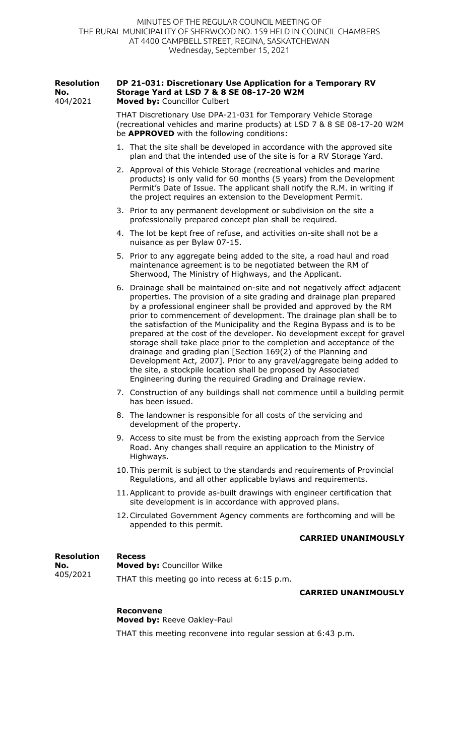| <b>Resolution</b><br>No.<br>404/2021 | DP 21-031: Discretionary Use Application for a Temporary RV<br>Storage Yard at LSD 7 & 8 SE 08-17-20 W2M<br>Moved by: Councillor Culbert                                                                                                                                                                                                                                                                                                                                                                                                                                                                                                                                                                                                                                                                      |
|--------------------------------------|---------------------------------------------------------------------------------------------------------------------------------------------------------------------------------------------------------------------------------------------------------------------------------------------------------------------------------------------------------------------------------------------------------------------------------------------------------------------------------------------------------------------------------------------------------------------------------------------------------------------------------------------------------------------------------------------------------------------------------------------------------------------------------------------------------------|
|                                      | THAT Discretionary Use DPA-21-031 for Temporary Vehicle Storage<br>(recreational vehicles and marine products) at LSD 7 & 8 SE 08-17-20 W2M<br>be <b>APPROVED</b> with the following conditions:                                                                                                                                                                                                                                                                                                                                                                                                                                                                                                                                                                                                              |
|                                      | 1. That the site shall be developed in accordance with the approved site<br>plan and that the intended use of the site is for a RV Storage Yard.                                                                                                                                                                                                                                                                                                                                                                                                                                                                                                                                                                                                                                                              |
|                                      | 2. Approval of this Vehicle Storage (recreational vehicles and marine<br>products) is only valid for 60 months (5 years) from the Development<br>Permit's Date of Issue. The applicant shall notify the R.M. in writing if<br>the project requires an extension to the Development Permit.                                                                                                                                                                                                                                                                                                                                                                                                                                                                                                                    |
|                                      | 3. Prior to any permanent development or subdivision on the site a<br>professionally prepared concept plan shall be required.                                                                                                                                                                                                                                                                                                                                                                                                                                                                                                                                                                                                                                                                                 |
|                                      | 4. The lot be kept free of refuse, and activities on-site shall not be a<br>nuisance as per Bylaw 07-15.                                                                                                                                                                                                                                                                                                                                                                                                                                                                                                                                                                                                                                                                                                      |
|                                      | 5. Prior to any aggregate being added to the site, a road haul and road<br>maintenance agreement is to be negotiated between the RM of<br>Sherwood, The Ministry of Highways, and the Applicant.                                                                                                                                                                                                                                                                                                                                                                                                                                                                                                                                                                                                              |
|                                      | 6. Drainage shall be maintained on-site and not negatively affect adjacent<br>properties. The provision of a site grading and drainage plan prepared<br>by a professional engineer shall be provided and approved by the RM<br>prior to commencement of development. The drainage plan shall be to<br>the satisfaction of the Municipality and the Regina Bypass and is to be<br>prepared at the cost of the developer. No development except for gravel<br>storage shall take place prior to the completion and acceptance of the<br>drainage and grading plan [Section 169(2) of the Planning and<br>Development Act, 2007]. Prior to any gravel/aggregate being added to<br>the site, a stockpile location shall be proposed by Associated<br>Engineering during the required Grading and Drainage review. |
|                                      | 7. Construction of any buildings shall not commence until a building permit<br>has been issued.                                                                                                                                                                                                                                                                                                                                                                                                                                                                                                                                                                                                                                                                                                               |
|                                      | 8. The landowner is responsible for all costs of the servicing and<br>development of the property.                                                                                                                                                                                                                                                                                                                                                                                                                                                                                                                                                                                                                                                                                                            |
|                                      | 9. Access to site must be from the existing approach from the Service<br>Road. Any changes shall require an application to the Ministry of<br>Highways.                                                                                                                                                                                                                                                                                                                                                                                                                                                                                                                                                                                                                                                       |
|                                      | 10. This permit is subject to the standards and requirements of Provincial<br>Regulations, and all other applicable bylaws and requirements.                                                                                                                                                                                                                                                                                                                                                                                                                                                                                                                                                                                                                                                                  |
|                                      | 11. Applicant to provide as-built drawings with engineer certification that<br>site development is in accordance with approved plans.                                                                                                                                                                                                                                                                                                                                                                                                                                                                                                                                                                                                                                                                         |
|                                      | 12. Circulated Government Agency comments are forthcoming and will be<br>appended to this permit.                                                                                                                                                                                                                                                                                                                                                                                                                                                                                                                                                                                                                                                                                                             |
|                                      | <b>CARRIED UNANIMOUSLY</b>                                                                                                                                                                                                                                                                                                                                                                                                                                                                                                                                                                                                                                                                                                                                                                                    |
| <b>Resolution</b><br>No.             | <b>Recess</b><br>Moved by: Councillor Wilke                                                                                                                                                                                                                                                                                                                                                                                                                                                                                                                                                                                                                                                                                                                                                                   |
| 405/2021                             | THAT this meeting go into recess at 6:15 p.m.                                                                                                                                                                                                                                                                                                                                                                                                                                                                                                                                                                                                                                                                                                                                                                 |

### **CARRIED UNANIMOUSLY**

## **Reconvene**

**Moved by:** Reeve Oakley-Paul THAT this meeting reconvene into regular session at 6:43 p.m.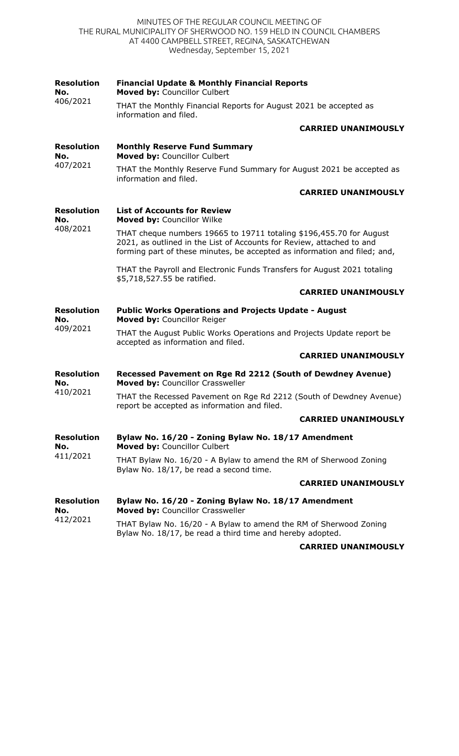MINUTES OF THE REGULAR COUNCIL MEETING OF THE RURAL MUNICIPALITY OF SHERWOOD NO. 159 HELD IN COUNCIL CHAMBERS AT 4400 CAMPBELL STREET, REGINA, SASKATCHEWAN Wednesday, September 15, 2021

| <b>Resolution</b><br>No.<br>406/2021 | <b>Financial Update &amp; Monthly Financial Reports</b><br>Moved by: Councillor Culbert                                                                                                                                   |
|--------------------------------------|---------------------------------------------------------------------------------------------------------------------------------------------------------------------------------------------------------------------------|
|                                      | THAT the Monthly Financial Reports for August 2021 be accepted as<br>information and filed.                                                                                                                               |
|                                      | <b>CARRIED UNANIMOUSLY</b>                                                                                                                                                                                                |
| <b>Resolution</b><br>No.<br>407/2021 | <b>Monthly Reserve Fund Summary</b><br>Moved by: Councillor Culbert                                                                                                                                                       |
|                                      | THAT the Monthly Reserve Fund Summary for August 2021 be accepted as<br>information and filed.                                                                                                                            |
|                                      | <b>CARRIED UNANIMOUSLY</b>                                                                                                                                                                                                |
| <b>Resolution</b><br>No.             | <b>List of Accounts for Review</b><br>Moved by: Councillor Wilke                                                                                                                                                          |
| 408/2021                             | THAT cheque numbers 19665 to 19711 totaling \$196,455.70 for August<br>2021, as outlined in the List of Accounts for Review, attached to and<br>forming part of these minutes, be accepted as information and filed; and, |
|                                      | THAT the Payroll and Electronic Funds Transfers for August 2021 totaling<br>\$5,718,527.55 be ratified.                                                                                                                   |
|                                      | <b>CARRIED UNANIMOUSLY</b>                                                                                                                                                                                                |
| <b>Resolution</b><br>No.<br>409/2021 | <b>Public Works Operations and Projects Update - August</b><br>Moved by: Councillor Reiger                                                                                                                                |
|                                      | THAT the August Public Works Operations and Projects Update report be<br>accepted as information and filed.                                                                                                               |
|                                      | <b>CARRIED UNANIMOUSLY</b>                                                                                                                                                                                                |
| <b>Resolution</b><br>No.<br>410/2021 | Recessed Pavement on Rge Rd 2212 (South of Dewdney Avenue)<br>Moved by: Councillor Crassweller                                                                                                                            |
|                                      | THAT the Recessed Pavement on Rge Rd 2212 (South of Dewdney Avenue)<br>report be accepted as information and filed.                                                                                                       |
|                                      | <b>CARRIED UNANIMOUSLY</b>                                                                                                                                                                                                |
| <b>Resolution</b><br>No.             | Bylaw No. 16/20 - Zoning Bylaw No. 18/17 Amendment<br>Moved by: Councillor Culbert                                                                                                                                        |
| 411/2021                             | THAT Bylaw No. 16/20 - A Bylaw to amend the RM of Sherwood Zoning<br>Bylaw No. 18/17, be read a second time.                                                                                                              |
|                                      | <b>CARRIED UNANIMOUSLY</b>                                                                                                                                                                                                |
| <b>Resolution</b><br>No.<br>412/2021 | Bylaw No. 16/20 - Zoning Bylaw No. 18/17 Amendment<br>Moved by: Councillor Crassweller                                                                                                                                    |
|                                      | THAT Bylaw No. 16/20 - A Bylaw to amend the RM of Sherwood Zoning<br>Bylaw No. 18/17, be read a third time and hereby adopted.                                                                                            |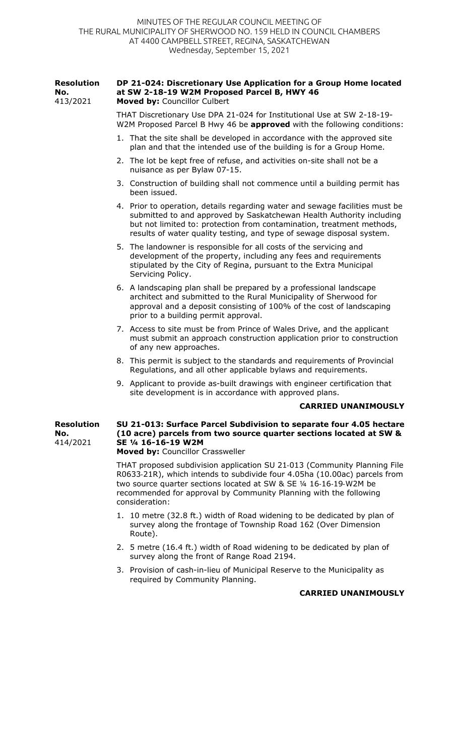| <b>Resolution</b><br>No.<br>413/2021 | DP 21-024: Discretionary Use Application for a Group Home located<br>at SW 2-18-19 W2M Proposed Parcel B, HWY 46<br>Moved by: Councillor Culbert                                                                                                                                                                   |
|--------------------------------------|--------------------------------------------------------------------------------------------------------------------------------------------------------------------------------------------------------------------------------------------------------------------------------------------------------------------|
|                                      | THAT Discretionary Use DPA 21-024 for Institutional Use at SW 2-18-19-<br>W2M Proposed Parcel B Hwy 46 be approved with the following conditions:                                                                                                                                                                  |
|                                      | 1. That the site shall be developed in accordance with the approved site<br>plan and that the intended use of the building is for a Group Home.                                                                                                                                                                    |
|                                      | 2. The lot be kept free of refuse, and activities on-site shall not be a<br>nuisance as per Bylaw 07-15.                                                                                                                                                                                                           |
|                                      | 3. Construction of building shall not commence until a building permit has<br>been issued.                                                                                                                                                                                                                         |
|                                      | 4. Prior to operation, details regarding water and sewage facilities must be<br>submitted to and approved by Saskatchewan Health Authority including<br>but not limited to: protection from contamination, treatment methods,<br>results of water quality testing, and type of sewage disposal system.             |
|                                      | 5. The landowner is responsible for all costs of the servicing and<br>development of the property, including any fees and requirements<br>stipulated by the City of Regina, pursuant to the Extra Municipal<br>Servicing Policy.                                                                                   |
|                                      | 6. A landscaping plan shall be prepared by a professional landscape<br>architect and submitted to the Rural Municipality of Sherwood for<br>approval and a deposit consisting of 100% of the cost of landscaping<br>prior to a building permit approval.                                                           |
|                                      | 7. Access to site must be from Prince of Wales Drive, and the applicant<br>must submit an approach construction application prior to construction<br>of any new approaches.                                                                                                                                        |
|                                      | 8. This permit is subject to the standards and requirements of Provincial<br>Regulations, and all other applicable bylaws and requirements.                                                                                                                                                                        |
|                                      | 9. Applicant to provide as-built drawings with engineer certification that<br>site development is in accordance with approved plans.                                                                                                                                                                               |
|                                      | <b>CARRIED UNANIMOUSLY</b>                                                                                                                                                                                                                                                                                         |
| <b>Resolution</b><br>No.<br>414/2021 | SU 21-013: Surface Parcel Subdivision to separate four 4.05 hectare<br>(10 acre) parcels from two source quarter sections located at SW &<br>SE 1/4 16-16-19 W2M<br>Moved by: Councillor Crassweller                                                                                                               |
|                                      | THAT proposed subdivision application SU 21-013 (Community Planning File<br>R0633-21R), which intends to subdivide four 4.05ha (10.00ac) parcels from<br>two source quarter sections located at SW & SE 1/4 16-16-19-W2M be<br>recommended for approval by Community Planning with the following<br>consideration: |
|                                      | 1. 10 metre (32.8 ft.) width of Road widening to be dedicated by plan of<br>survey along the frontage of Township Road 162 (Over Dimension<br>Route).                                                                                                                                                              |

- 2. 5 metre (16.4 ft.) width of Road widening to be dedicated by plan of survey along the front of Range Road 2194.
- 3. Provision of cash-in-lieu of Municipal Reserve to the Municipality as required by Community Planning.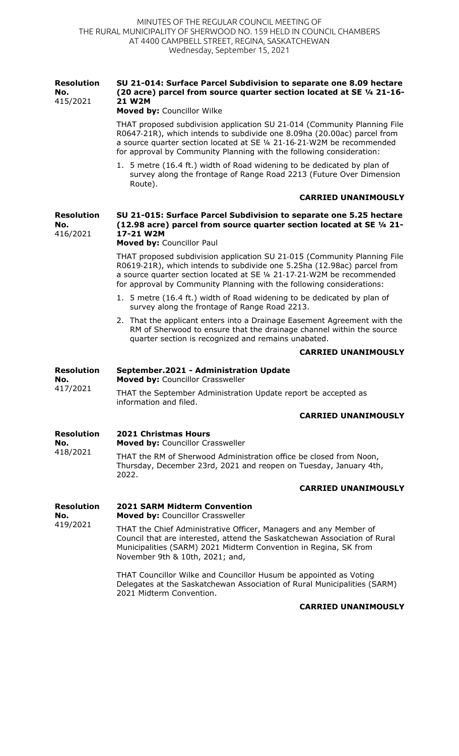### **Resolution No.**  415/2021 **SU 21-014: Surface Parcel Subdivision to separate one 8.09 hectare (20 acre) parcel from source quarter section located at SE ¼ 21-16- 21 W2M**

**Moved by:** Councillor Wilke

THAT proposed subdivision application SU 21-014 (Community Planning File R0647-21R), which intends to subdivide one 8.09ha (20.00ac) parcel from a source quarter section located at SE ¼ 21-16-21-W2M be recommended for approval by Community Planning with the following consideration:

1. 5 metre (16.4 ft.) width of Road widening to be dedicated by plan of survey along the frontage of Range Road 2213 (Future Over Dimension Route).

## **CARRIED UNANIMOUSLY**

### **Resolution No.**  416/2021 **SU 21-015: Surface Parcel Subdivision to separate one 5.25 hectare (12.98 acre) parcel from source quarter section located at SE ¼ 21- 17-21 W2M**

**Moved by:** Councillor Paul

THAT proposed subdivision application SU 21-015 (Community Planning File R0619-21R), which intends to subdivide one 5.25ha (12.98ac) parcel from a source quarter section located at SE ¼ 21-17-21-W2M be recommended for approval by Community Planning with the following considerations:

- 1. 5 metre (16.4 ft.) width of Road widening to be dedicated by plan of survey along the frontage of Range Road 2213.
- 2. That the applicant enters into a Drainage Easement Agreement with the RM of Sherwood to ensure that the drainage channel within the source quarter section is recognized and remains unabated.

### **CARRIED UNANIMOUSLY**

| Resolution<br>No.<br>417/2021 | September.2021 - Administration Update<br><b>Moved by: Councillor Crassweller</b>        |
|-------------------------------|------------------------------------------------------------------------------------------|
|                               | THAT the September Administration Update report be accepted as<br>information and filed. |
|                               | <b>CADDIEN IINANT</b>                                                                    |

## **CARRIED UNANIMOUSLY**

#### **Resolution 2021 Christmas Hours**

**No.**  418/2021

419/2021

**Moved by:** Councillor Crassweller

THAT the RM of Sherwood Administration office be closed from Noon, Thursday, December 23rd, 2021 and reopen on Tuesday, January 4th, 2022.

### **CARRIED UNANIMOUSLY**

#### **Resolution No. 2021 SARM Midterm Convention Moved by:** Councillor Crassweller

THAT the Chief Administrative Officer, Managers and any Member of Council that are interested, attend the Saskatchewan Association of Rural Municipalities (SARM) 2021 Midterm Convention in Regina, SK from November 9th & 10th, 2021; and,

THAT Councillor Wilke and Councillor Husum be appointed as Voting Delegates at the Saskatchewan Association of Rural Municipalities (SARM) 2021 Midterm Convention.